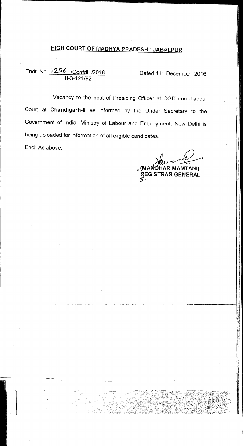# **HIGH COURT OF MADHYA PRADESH : JABALPUR**

# Endt. No. <u>1256 /Confdl. /2016</u> Dated 14<sup>th</sup> December, 2016 11-3-121/92

Vacancy to the post of Presiding Officer at CGIT-cum-Labour Court at **Chandigarh-II** as informed by the Under Secretary to the Government of India, Ministry of Labour and Employment, New Delhi is being uploaded for information of all eligible candidates.

End: As above.

**,(MA'5H1AR MAMTANI)** 

**REGISTRAR GENERAL** 

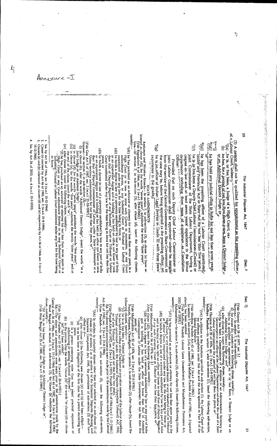Sec. 7 Sec. 7] 「「大きなので、このは、「おものののから、「おもののから」

1947

 $\overline{5}$ 

(3) A person shall not be qualified for appointment as the presiding officer The Industrial Disputes Act, 1947

S,

Ç

of a Labour Court, unless l(a) he is, or has been, a Judge of a High Court, or,

 $\widehat{\mathbf{e}}$ he has, for a period of not leve than three years. been a Digitic! Judge or an Additional District Judge; or 

 $\mathfrak{t}$ i(b); he has held any judicial office in India for 101 less than seven years,

algel he has been the presiding officer of a labour Court constituted

ŝ Thider any provincial Act or State Act for not less than inve years. he is or has been a Deputy Chief Labour Commissioner (Central) or point Commissioner of the State Labour Department, having a department including three years of scoepence as Conciliation degree in law and at least seven years' experience in the labour

Officer: "" the case may be, before being appointed es the presiding officer, or from the service of the Central Government or. State Government, as Provided that no such Deputy Chief Labour Commissioner or corrected that no such Deputy Chief Labour Commissioner shall be appointed unique

මේ experience in the graded he is on officer of Indian Legal Service in Grade III with three years' **REAGAN AND REAGAN AND REAGAN AND REAGAN AND REAGAN AND REAGAN AND REAGAN AND REAGAN AND REAGAN AND REAGAN AND REAGAN AND REAGAN AND REAGAN AND REAGAN AND REAGAN AND REAGAN AND REAGAN AND REAGAN AND REAGAN AND REAGAN AND R** 

STATE AMENDMENTS

Andaman and Nicobar Islands.— in section 7, in sub-section (3), in clause (a) frow re-<br>lettered as clause (d)), for the words "seven years", substitute the words "three years".<br>[Vide Regulation 6 of 1964, sec. 2 (w.e.f. 2

namely: "(di) he has practised as an advocate or attoriey for not less than seven years in a High Court or in two or more such Courts in succession, or any Court<br>subordinate thereto, or any Industrial Court or Tribunal or Labour Court

constituted under any law for the time being in force; or<br>(d2) he holds a degree an law of the time being in force; or any part of India<br>of the holds a degree and as holding or has held an office not lower in rank<br>that th

(d3) Years or<br>
(d3) Wears or a decree in law of a university established by law in any part of India<br>
or an equivalent degree and is holding or has held an office not lower in rank<br>
than that of Deputy Commussioner of Lab

**Cujarat.**—In section 7, in sub-section (3)—in all client conder the words "or a district of the section of the section (3)—in the section (3) in clause (d), for the words "seven years", and a section of the words "seven

(ii) in clause (d),  $\begin{pmatrix} 1 & 1 \\ 1 & 1 \end{pmatrix}$ 

 $\widehat{\epsilon}$ the end of the clause, insert the word " $\sigma r'$ ", increasing the end of the clause. insert the word " $\sigma r'$ ", increasing the state of the state of the state of the state of the notice of the notice of the notice of the not

in force."

Ins. by Act 36 of 1964, sec. 3 (w.e.f. 15-12-1964).

1. Lus. by Act 36 of 1964, sec. 3 (w.e.f. 15-12-1994).<br>2. Clause (c) onitied by Act 46 of 1982, sec. 3 (w.e.f. 21-8-1984).<br>3. Clause (a) and (b) relettered as clauses (d) and (e) respectively by Act 36 of 1964, sec. 3 (w.

15-12-1964)

4. Ins. by Act 24 of 2010, sec. 4 (w.e.f. 15-9-2010)

 $k_{\parallel}$ 

namely:following clauses, namey-<br>
following clauses, namey-<br>
(c) he has held the office of the Chairman or any other member of the Labour Appellate<br>
(d) he has held the office of the Chairman or any other member of the Labour Ap above), has been omitted namely: $\sim$  (A) In addition to the functions specified in sub-section (1), the Labour Court shall can be functional specified in the Acts specified in Part B of the specified in Fart B of the specified in Fart B of the sp clause, namely;  $\sigma$ r has been, a District Judge or an Additional District Judge; or".<br>"/(b) he is, or has been, a District Judge or an Additional District Judge; or".<br>[*Vide W*est Bengal Act 35 of 1989, sec. 3 (w.e.f. 22 Ed. The above said antendments were made prior to the amendments made by the Central Act 46 of 1982, sec. 3 (w.e.f. 21-8-1984). namely:-2003 (28 of 2003). Ed.—The above said amendments were made prior to the amendments made by the Central Act 36 of 1964, sec. 3 (w.e.f. 15-12-1964) and Act 46 of 1982, sec. 3 (w.e.f. 21.8-1984).<br>Central Act 36 of 1964, sec. 3 (w.e.f. 15-12-19 (ii) after clause (c) insert the Eollowing clause, namely,—<br>
(iv) after clause (c) insert the Eollowing clause, namely,—<br>
(c) he has been a Commissioner of a division or an Administrate enter of a joint<br>
(pig Haryana Act Sécond Schedule."<br>[Vide Madhya Pradesh Act 43 of 1981, sec. 3 (w.e.f. 26-1-1982)]<br>In section 7, sub-section (1A), as inserted by Madhya Pradesh Act 43 of 1981, sec. 3 (quoted [Vide Gujarat Act 28 of 1977, sec. 2.]<br>Haryana - In section 7, in sub-sectic  $\Lambda$  (ter clause (42), neert the following clause, namely, namely, law in any part of India<br> $\Lambda$  (43) he ladge or has held an office not lower than that existent<br>clause is holding or has held an office not lower than that Uttar Pradesh - in section 7, after sub-section (3), insert the following sub-section or of any Tribunal for a period not less than two vears."<br>[Vide Punjab Act 8.0f 1957, sec. 2 (w.e.f. 3-6-1957); Punjab Act 31 of 1966 (w.e.f. 1.11-1966). Maharashtra — In section 7, in sub-section (3), after clause (d), insert the following clauses, [Vide Madhya Pradesh Labour Laws (Amendment) and Miscellaneous Provisions Act, Punjab, Haryana, Chandigarh.—In section 7, in sub-section (3), after clause (b), insert the [Vide Maharashtra Act 56 of 1974, sec. 2. [Vide Llttar Pradesh Act 25 of 1951, sec. 2 (w.r.e.f. 26-6-1951).] Vide Maharahtra Act 22 of 1976, sec. 2 (w.e.f. 27-5-1976). (i) for clause (b), substitute the following clause, namely:—<br>  $\hat{d}$ ) he is qualified for appointment as, is or has been<br>  $\mathcal{A}$ ditional District Judge or, and "(AA) In relation to industrial dispute other than that referred to in sub-dause (i) of "(d1) he has practised as an advocate or attorney for not less than seven years in the High Court, or any court subordinate thereto, or any Industrial Court'or Tribunal<br>or labour Court, constituted under any law for the time being, in force: or<br>or labour Court, constituted under any law for the time being, i (e) is a person possessing moie than two years' practical experience of (b) in the proviso after the words "clause (b)" the words "or clause (d) or clause (e)" had been added!" e) and is holding or has held an office not lower in rank than of Deputy Registrar of any such beneating. Court or Tribunal for not less than 0f Deputy Registrar clause (a) of section 2 or in section 4 of the Industrial Disputes (Banking and Ingurance Companies) Act, 1949, the provisions of sub-section (3) shall have effect as if-"(d) is or has been a Magistrate of the first class for a period exceeding two vears; or atler clause (c) the following new clauses (d) and (e) had been added: years; in sub-section (3),-The Industrial Disputes Act, as, is or has been, a District Judge or an

 $-\top$ Annexure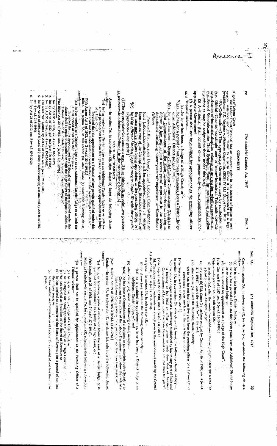The Industrial Disputes Act, 1947

[Sec. 7

Sec. 7A)

The Industrial Disputes Act, 1947

Š3

2

**COMMENTS** 

Rig in a f Labour Court/Tribunal has an inherent right in the interest of justice to seek-norogy assistance and grant. Teave' to a party before it is represented by a legal practicular of the Labour Court/Tribunal has an

had indication-of-industrial displues relating to any matter, whether specified in the -Second-Schedule-or. the Third Schedule film the second schedule-or. the Third Schedule in he-~Oficial~Gazette;\* constitute \* one\*`or`` more-4 Frdustrial.-Tribunals ~for-+the lnA. Tribunals. (1) The appropriate Government may, by notification in

 $\nu$  actions as may be assigned to them under this  $\mathcal{N}_{\mathbf{C}}$ (2) A Tribunal-stiall-consist-of-one-person-only-to-be-appointed-by-the

-ssalau-landial<sup>3</sup> upprepriate-Government. (3) A person shall not be shallified for appointment as the presiding officer

(a) he is, or has been, a Judge of a High Court; or

Mea) . he has, for a period of not less than three years, beging District Judge or an Additional District-Judge; 4[xx]]

er Buiken "næmiedsG" inoher Tests Bill To Talossiutuo T' juno<br>10 (https://www.client.org/www.client.org/www.client.org/www.client.org/www.client.org/w Othcer department-iscluding ~three~years~of- experience-as-Conciliation egree in law and at least seven years' experience in the labour

the case may be before being appointed as the presiding officer; or rom the service of the Central Government or State Government, as loint Labour Commissioner-shall-be appointed miless he resigns Provided that no. such Deputy Chief Jabour Commissionar and

(4) The appropriate-Government may, if it so thinks fit, appoint two persons. ે. he is an officer of Indian, Legal Service in Grade-III with three years experience-in-the-grade.]

as assessors-to-advise-the Tribunal in the proceeding before Li-STATE AMENDMENTS

namely:-Assam,-in section 7A, in sub-section (3), after clause (a) insert the following clause,

(aa) he has worked as a District Judge or as an Additional District Judge or as both for of a High Court lial s period of not less than three years or is qualified for appointment as a Judge

[Vile Assam Act 8 of 1962, sec. 2 (w.e.f. 30-4-1962).] clause shall not be made without consultation with the Assam High Court, or Provided that the appointment to a Tribunal of any person qualified under this

iamma) Bihar,—In eetion 7A, in sub-section (3), after clause (a) inserit the following clause,

(aa) he has worked as a District Judge or as an Additional District Judge or as both for a total period of not less than three years.<br>Provided that the appointment to a Tribunal of any person qualified under this

clause shall be made in consultation with the High Court of the State in which the Irlbunal

[Vide Bihar Act 20 of 1959, sec. 2 (w,e.f,  $7\sqrt[3]{1999}$ ).  $\mathbb{R}$ has or is intended to have, its usual place of sitting or

lus, by Act 36 of 1956, sec. 4 (w.e.f. 10-3-1957).<br>Ins. by Act 46 of 1982, sec. 4(a) (w.e.f. 21.4-1964),<br>Ins. by Act 36 of 1964, sec. 4 (w.e.f. 15-12-1964).

The word "or" omitted by Act 46 of 1982, sec. 4 (w.e.f. 21-8-1984).

las. by Act 24 of 2010, sec. 5 (w.e.f. 15-9-2010). Earlier clause (b) was onitted by Act 46 of 1982. sec. 4 (w.e.f. 21-8-1984)

In. by Act 24 of 2010, sec. 5 (w.e.f. 15-9-2010)

namely:--namely: $n$ anuely Act 46 of 1982, sec. 4 (w.e.f. 21-8-1984). Madhya Pradesh.—In section 7A, for sub-section (3), substitute the following sub-section, Goa.-In section 7A, in sub-section (3), for clause (aa), substitute the following clauses, Haryana. In section 7A, in sub-section (3),-Kerala.--In section 7A, in sub-section (3), for clause (a), substitute the following clause, Gujarat.-In section 7A, in sub-section (3),-[Vide Kerala Act 28 of 1961, sec. 2 (w.e.f. 27-7-1961)]. [Vide Haryana Act 39 of 1976, sec. 3 (w.e.f. 12-8-1976).] Ed. The above said amendments were made prior to the amendments made by the Central [Vule Gujarat Act 22 of 1981, sec. 5 (w.e.f. 1-8-1981).] In section 7A, in sub-section (3), after clause (c), insert, the following clause, namely :-[Vide Gujarat Act 28 of 1977, sec. 3.] [Vide Goa Act 5 of 1987, sec. 3 (w.e.f. 21-10-1987).] "(3) A person shall not be qualified for appointment as the Presiding Officer of a "(a) he is, or has been, a judicial officer not below the rank of a District Judge, or is "(d) he holds a degree in law of a University established by law in any part of India and (iii) after clause (b), insert the following clause, namely: --"(b) he is, or has been, a District Judge; or (ii) in clause (b) [Ed. clause (b) has been omitted by Central Act 46 of 1982, sec. 4 (w.e.f. (i) in clause (aa), after the words "an Additional District Judge", insert the words "or (ii) after clause (aa), insert the following clause, namely:-(i) for clause (aa), substitute the following clause, namely:-(d) he is qualified for appointment as a Judge of the High Court". (c) he has, for a period of not less than three years, been an Additional District Judge "(c) he has for not less than five years been the presiding officer of a Labour Court 21-8-1984)], tnsert the word "or" at the end; a Joint Judge or an Assistant Judge", or an Assistant Judge; or qualified for appointment as a Judge of a High Court, or." "(aaa) he has been a Commissioner of a division or an Administrative Secretary to Tribunal unless-"(aa) he is qualified for appointment as, is or has been, a District Judge or an Commissioner of Labour under the State Government for not less than ten years" is holding or has held an office not lower in rank than that of Assistant ese (a) he is, or has been, a Judge of a High Court; or (e) he has worked as Commissioner of Labour for a period of not less than three 一、 法公司 constituted under any law for the time being in force" he is eligible for being appointed a Judge of a High Court; or the has worked as President of the Board of Revenue; or he has worked as a member of the Board of Revenue for a period of not less than three years; or years; or Government or an officer of the Labour Department not below the rank of a Additional District Judge; or"; and Joint Labour Commissioner for a period of not less than two years, or  $\hat{\mathbf{r}}$ 

Ş

frrexure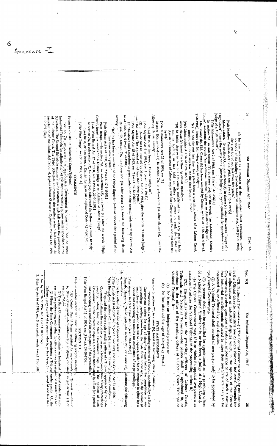The Industrial Disputes Act, 1947

[Sec. 7A

(f) he has worked as a member of the Industrial Court constituted under section 9 of the Madhya Pradesh Industrial Relations Act, 1960 (27 of 1960), for a period of not less than five years."

Ë,

[Vide Madhya Pradesh Act 19 of 1988, sec. 3 (w.e.f. 15-1-1999).]

High Court", insert the words "or a District Judge or a person qualified for appointment as a ludge of a High Court" Maharashtra.—In section 7A, in sub-section (3), in clause (a), after the words "Judge of a

In section 7A, in sub-section (3), in clause (aa), for the words "an Additional District [Vide Maharashtra Act 2 of 1963, sec. 2 (w.e.f. 4-1-1963).]

judge", substitute the words "an Additional District Judge or an Assistant Judge or". After clause (b), [Ed. Clause (b) has been omitted by Central Act 46 of 1982, sec. 4 (w.e.f.

21-8-1984)], insert the following clause, namely --"(c) he has for not less than five years been a presiding officer of a Labour Court, constituted under any law for the time being in force."

[Vide Maharashtra Act 56 of 1974, sec. 3.]

After clause (c) insert the following clause, namely. ė, he holds degree in law of a University established by law in any part of India and is holding or has held an office not lower in rank than, that of Assistant Commissioner of Labour under the Stat : Government for not less than ten

[Vide Maharashtra Act 22 of 1976, sec. 3.] years."

following clause, namely -Mysore (Karnataka). $-$ (1) In section 7A, in sub-section (3), after clause (a), insert the

"(aa) he is, or has been, a District Judge, or"

insert the words "for a period of not less than three years." (2) In clause (aa) as inserted by Mysore Act 6 of 1963, after the words "District Judge", [Vule Mysore Act 6 of 1963, sec. 2 (w.e.f. 31 1-1963).]

Ed. The above said amendments were made prior to the amendments made by Central Act [Vide Mysore Act 25 of 1963, sec. 2 (w.e.f. 12-12-1963).]

46 of 1982, sec. 4 (w.e.f. 21-8-1984). Orissa,-In section 7A, in sub-section (3), after clause (a), insert the following clause.

namely: "(an) he has been a member of the Orissa Superior Judicial Service for a period of not less than seven years."

West Bengal.---In section 7A, in sub-section (3), in clause (a), after the words "High [Vide Orissa Act 6 of 1960, sec. 2 (w.e.f. 17-3-1960).]

Court", insert the words "or a District Judge or an Additional District Judge" [Vide West Bengal Act 17 of 1958, sec. 3 (w.e.f. 22-9-1958).]

In section  $7\lambda$ , in sub-section (3), for clause (aa), substitucd the following clause, name)y: "(aa) he is, or has been, a District Judge or an Additional District Judge; or".

[Vide West Bengal Act 35 of 1989, sec. 4.]

COMMENTS 医无反应 医心理学

of the Labour Court. The Third Schedule enumerates the matters which fall within the Schedules. The Second Schedule enumerates the matters which fall within the jurisdiction Industrial Tribunals for adjudication of the disputes relating to any matter specified in the Power to constitute Industrial Court/Tribunal jusisdiction of the Industrial Tribunal; Jagdish Narain Sharma y. Rajastlan Patrika Ltd., 1994 Section 7A empowers the appropriate Government to constitute one or more

LR 265 (Raj)

interested in, or affected by, such disputes. clause, namely .continue in, the office of the presiding officer of a Labou: Court, Tribunal or of a National Tribunal <sup>2</sup>(unless he is, or has been, a Judge 2f a High Court). in the Official Gazette, constitute one or more National Ind astrial Triburals for Sec. 7C] National Tribunal, if-Tribunals and National Tribunals .- No person shall be appointed to, assessors to advise the National Tribunal in the proceeding before it.] the Central Government. the adjudication of industrial disputes which, in the opinion of the Central that industrial establishments situated in more than one State are likely to be Government, involve questions of national importance or are of such a nature 2. Subs. by Act 46 of 1982, sec. 5, for certain words (w.e.f. 21-8-1984) 1. Ins. by Act 36 of 1956, sec. 4 (w.e.f. 10-3-1957). 17 C. Disqualifications for the presiding officers of Labour Courts, Gujarat.---After section 7C, insert the following section, namely: Punjab, Haryana, Chandigarlı - in secion 7C, for clause (b), çubstinue the following (4) The Central Government may, if it so thinks fit, appoint two persons as (3) A person shall not be qualified for appointment as he presiding officer 1[7B, National Tribunals. (1) The Central Government may, by notification [Vide West Bengal Act 11 of 1959, sec. 3 (w.e.f. 27-10-1959).] West Bengal, In section  $7C$ , in clause (b), insert the following proviso, namely: [Vide Assam Act 3 of 1962, sec. 3 (w.e.f. 30-4-1962).] (2) A National Tribunal shall consist of one person only to be appointed by [Vide Punjab Act 8 of 1957, sec. 3 (w.e.f. 3-6-1957); and the Central Act 31 of 1966. Assam.- In section 7C, in clause (b), insert the following provise, namely.--"(b) he has attained the age of sixty-seven years".  $\widehat{\mathbf{e}}$ (b) he has attained the age of sixty-five years.] not exceeding six months for completion of the proceedings."<br>West Remeal And 11 - 15 theory of completion of the proceedings." section for performing such other functions as may be assighed to it under this Act. by State Government, Notwithstanding anything contained in sub-section (1) of pending before him, the State Government may, if in Tribunal may consist of a person who is, or has been, for a period of not less than section  $7A$  $-$ Government attains the age of sixty-five years before completion of any proceedings such Government public interest so requires, order his col timance in office for a such Government public interest so requires, order his col timance in  $\phi$ ffice for a proceedings pending before him, the State Government may, if in the opinion of Government attains the age of sixty-five years before 'he completion of any he is not an independent person; or (2) Where the State Government constitutes a Tribunal under section 7A, the (1) The State Government may constitute an Industrial Tribunal under that sub-"Provided that where such presiding officer of a Tribuna, appointed by the State "7D. Certain District Judges qualified for appointments "Provided that where such presiding officer of a Tribuna, appointed by the State The Industrial Disputes Act, STATE AMENDMENTS **SECTION 7D** 1947 on Tribunal constituted the opinion of such ខ្ន SS.

Annexure

6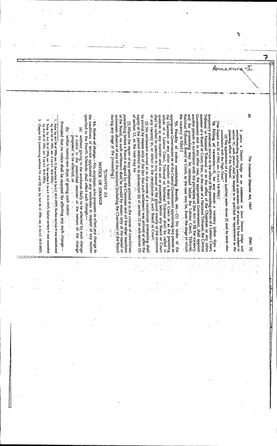Annexur  $\cdots$  9A. Notice of change.  $-N_0$ , employer, who proposes to effect any change in the conditions of service applicable to any workman in respect of any matter appropriate Government or of the Central Government appointing any person as the Chairman or any other member of a Board or Court or a state presiding of filter of a Labour Court, Tribunal or National Tribunal and all be another person in accordance with the provisions of this Act to fill the vacancy, specified in the Fourth Schedule, shall effect such change, of the Board, no such settlement shall be invalid by reason only of the casual or expiry of the period referred to in sub-section (6) of section 12 or sub-section (5) be invalid by reason only of the fact that such settlement was arrived at after the of any vacancy in or defect in the constitution of, such Board or Court. member of a Board or Court, then, in the case of a National, Tribunal, the Central during any stage of the proceeding. unforeseen absence of any of the members (including the Chairman) of the Board proceeding before a Board is signed by the Chairman and all the other members of section 13, as the case may be. Government and in any other case, the appropriate Government, shall appoint temporary absence) occurs in the office of the presiding officer of a Labour Court, Tribunal or National Tribunal or in the office of the Chairman or any other shall be called in question in any manner on the ground merely of the existence question in any manner; and no act or proceeding before any Board or Court the vacancy is filled.] National Tribunal, Board or Court, as the case may be, from the stage at which (2) No settlement arrived at in the course of a conciliation proceeding shall Ņ 1. Subs. by Act 36 of 1956, sec. 5, for section 8 (w.e.f. 10-3-1957). Earlier section 8 was substituted 16. Filling of vacancies.--If, for any reason a vacancy (other than a (3) Where the report of any settlement arrived at in the course of conciliation Provided that no notice shall be required for effecting any such change-29. Finality of orders constituting Boards, etc.-(1) No order of the [Vide Gujarat Act 22 of 1962, sec. 2 (w.e.f. 9-8-1962).] Chapter IIA (containing sections 9A and 9B) ins, by Act 36 of 1956, see. 6 (w.e.f. 10.3-1957) Subs. by Act 36 of 1956, sec. 5, for section 9 (w.e.f. 10-3-1957). Earlier section 9 was annended by Act 40 of 1951, sec. 4 (w.e.f. 26-6-1951). Contraction by Act 40 of 1951, sec. 5 (w.e.f. 26-5-1951). (a) without giving to the workmen likely to be affected by such change (b) within twenty-one days of giving such notice. 5 years, a District Judge or an Additional or Joint District Judge and a low the strainer proper in the strainer contained in sub-section (3) of section  $\chi_A$  but subject to (3) The appointment of a person qualified under clause (2) shall be made after consultation with the High Court. presiding officer of the Tribunal. section 7C, such person shall be deened to be qualified for appointment as the the proposed to be effected; or the state of the state of the state of the state of the state of the state of the state of the state of the state of the state of the state of the state of the state of the state of the stat a notice in the prescribed manner of the nature of the change The Industrial Disputes Act, 1947 NOTICE OF CHANGE PICHAPTER IIA 医子宫  $\begin{array}{ccc}\n\bullet & \bullet & \bullet & \bullet \\
\bullet & \bullet & \bullet & \bullet \\
\bullet & \bullet & \bullet & \bullet\n\end{array}$ 医室室 ś. [Sec. 7C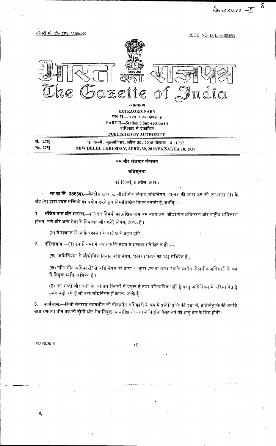REGD. NO. D. L.-33004/99 azette of India असाधारण **EXTRAORDINARY** भाग II- खण्ड 3 उप-खण्ड (i) PART II-Section 3 Sub-section (i)

8

Annexure - $\mathbb T$ 

प्राधिकार से प्रकाशित PUBLISHED BY AUTHORITY सं. 275] नई दिल्ली, बृहस्पतिवार, अप्रैल 30, 2015/वैशाख 10, 1937 No. 275] NEW DELHI, THRUSDAY, APRIL 30, 2015/VAISAKHA 10, 1937

### श्रम और रोजगार मंत्रालय

### अधिसूचना

### नई दिल्ली, 6 अप्रैल, 2015

**सा.का.नि. 336(अ).—**केन्द्रीय सरकार, औद्योगिक विवाद अधिनियम, 1947 की धारा 38 की उप-धारा (1) के खंड (ग) द्वारा प्रदत्त शक्तियों का प्रयोग करते हुए निम्नलिखित नियम बनाती है, अर्थात् :—

**संक्षिप्त नाम और आरम्भ.—(1)** इन नियमों का संक्षिप्त नाम श्रम न्यायालय, औद्योगिक अधिकरण और राष्ट्रीय अधिकरण  $1.1$ (वेतन, भत्ते और अन्य सेवा के निबन्धन और शर्तें) नियम, 2015 है ।

(2) ये राजपत्र में उनके प्रकाशन के तारीख के प्रवृत्त होंगे ।

रजिस्ट्री सं० डी० एल०-33004/99

परिभाषाए.—(1) इन नियमों में जब तक कि सदर्भ से अन्यथा अपेक्षित न हो :—  $2.$ 

(क) "अधिनियम" से औद्योगिक विवाद अधिनियम, 1947 (1947 का 14) अभिप्रेत है ;

(ख) "पीठासीन अधिकारी" से अधिनियम की धारा 7, धारा 7क या धारा 7ख के अधीन पीठासीन अधिकारी के रूप में नियुक्त व्यक्ति अभिप्रेत है।

(2) उन शब्दों और पदों के, जो इन नियमों में प्रयुक्त है तथा परिभाषित नहीं है परंतु अधिनियम में परिभाषित है उनके वही अर्थ हैं जो उक्त अधिनियम में क्रमशः उनके हैं।

**कार्यकाल.—**किसी सेवारत न्यायधीश की पीठासीन अधिकारी के रूप में प्रतिनियुक्ति की दशा में, प्रतिनियुक्ति की अवधि 3. साधारणतया तीन वर्ष की होगी और सेवानिवृत्त न्यायधीश की दशा में नियुक्ति पैंसठ वर्ष की आयु तक के लिए होगी ।

1926 GI/2015

 $\breve{\mathcal{C}}$ 

 $(1)$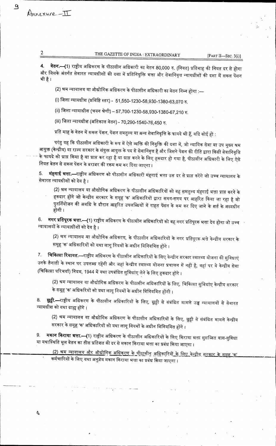## THE GAZETTE OF INDIA : EXTRAORDINARY

[PART II-SEC.  $3(i)$ ]

**वेतन.—(1**) राष्ट्रीय अधिकरण के पीठासीन अधिकारी का वेतन 80,000 रु. (नियत) प्रतिमाह की नियत दर से होगा  $\overline{\mathbf{4}}$ . और जिसके अंतर्गत सेवारत न्याय़धीशों की दशा में प्रतिनियुक्ति भत्ता और सेवानिवृत्त न्यायधीशों की दशा में सकल पेंशन भी है ।

(2) श्रम न्यायालय या औद्योगिक अधिकरण के पीठासीन अधिकारी का वेतन निम्न होगा :—

(i) जिला न्यायधीश (प्रविष्टि स्तर) - 51,550-1230-58,930-1380-63,070 रु.

(ii) जिला न्यायाधीश (चयन श्रेणी) – 57,700-1230-58,930-1380-67,210 रु.

(iii) जिला न्यायधीश (अतिकाल वेतन) - 70,290-1540-76,450 रु.

 $\overline{6}$ 

Annexure-II

 $\overline{2}$ 

Ç

प्रति माह के वेतन में सकल पेंशन, पेंशन समतुल्य या अन्य सेवानिवृत्ति के फायदे भी हैं, यदि कोई हो :

परंतु यह कि पीठासीन अधिकारी के रूप में ऐसे व्यक्ति की नियुक्ति की दशा में, जो न्यायिक सेवा या उप मुख्य श्रम आयुक्त (केन्द्रीय) या राज्य सरकार के संयुक्त आयुक्त के पद से सेवानिवृत्त है और जिसने पेंशन की रीति द्वारा किसी सेवानिवृत्ति के फायदे को प्राप्त किया है या प्राप्त कर रहा है या प्राप्त करने के लिए हकदार हो गया है, पीठासीन अधिकारी के लिए ऐसे नियत वेतन से सकल पेंशन के बराबर की रकम कम कर दिया जाएगा ।

**मंहगाई भत्ता.—**राष्ट्रीय अधिकरण को पीठासीन अधिकारी मंहगाई भत्ता उस दर से प्राप्त करेंगे जो उच्च न्यायालय के 5. सेवारत न्यायधीशों को देय है।

(2) श्रम न्यायालय या औद्योगिक अधिकरण के पीठासीन अधिकारियों को वह समतुल्य महगाई भत्ता प्राप्त करने के हकदार होंगे जो केन्द्रीय सरकार के समूह 'क' अधिकारियों द्वारा समय-समय पर आहरित किया जा रहा है जो पुनर्नियोजन की अवधि के दौरान आहरित उपलब्धियों में राहत पेंशन के कम कर दिए जाने के शर्त के अध्यधीन होगी ।

**नगर प्रतिपूरक भत्ता.—(**1) राष्ट्रीय अधिकरण के पीठासीन अधिकारियों को वह नगर प्रतिपूरक भत्ता देय होगा जो उच्च 6. न्यायालयों के न्यायाधीशों को देय है।

(2) श्रम न्यायालय या औद्योगिक अधिकरण, के पीठासीन अधिकारियों के नगर प्रतिपूरक भत्ते केन्द्रीय सरकार के समूह 'क' अधिकारियों को यथा लागू नियमों के अधीन विनियमित होंगे ।

**चिकित्सा रियायत.—**राष्ट्रीय अधिकरण के पीठासीन अधिकारियों के लिए केन्द्रीय सरकार स्वास्थ्य योजना की सुविधाएं  $7<sub>1</sub>$ उनके तैनाती के स्थान पर उपलब्ध रहेंगी और जहां केन्द्रीय स्वास्थ्य योजना प्रचालन में नही है, वहां पर वे केन्द्रीय सेवा (चिकित्सा परिचर्या) नियम, 1944 में यथा उपबंधित सुविधांए लेने के लिए हकदार होंगे ।

(2) श्रम न्यायालय या औद्योगिक अधिकरण के पीठासीन अधिकारियों के लिए, चिकित्सा सुविधांए केन्द्रीय सरकार के समूह 'क' अधिकरियों को यथा लागू नियमों के अधीन विनियमित होंगी ।

8. **छुट्टी.—**राष्ट्रीय अधिकरण के पीठासीन अधिकारियों के लिए, छुट्टी से संबंधित मामले उच्च न्यायालयों से सेवारत न्यायधीश को यथा ग्राह्य होंगे ।

(2) श्रम न्यायालय या औद्योगिक अधिकरण के पीठासीन अधिकारियों के लिए, छुट्टी से संबंधित मामले केन्द्रीय सरकार के समूह 'क' अधिकारियों को यथा लागू नियमों के अधीन विनियमित होंगे ।

**मकान किराया भत्ता.—(**1) राष्ट्रीय अधिकरण के पीठासीन अधिकारियों के लिए किराया भत्ता सुसज्जित वास-सुविधा 9. या यथास्थिति मूल वेतन का तीस प्रतिशत की दर से मकान किराया भत्ता का प्रबंध किया जाएगा ।

<u>(2) श्रम न्यायालय और औद्योगिक अधिकरण के पीठासीन अधिकारियों के लिए केन्द्रीय सरकार के समूह 'क'</u>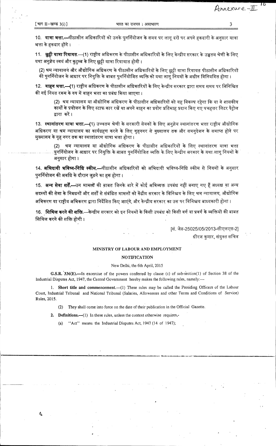Q

Annexure-II

10. **यात्रा भत्ता.—**पीठासीन अधिकारियों को उनके पुनर्नियोजन के समय पर लागू दरों पर अपने हकदारी के अनुसार यात्रा भत्ता के हकदार होंगे ।

11. छुट्टी यात्रा रियायत.—(1) राष्ट्रीय अधिकरण के पीठासीन अधिकारियों के लिए केन्द्रीय सरकार के उच्चतम श्रेणी के लिए यथा अनुज्ञेय स्वयं और कुटुम्ब के लिए छुट्टी यात्रा रियायात होगी ।

(2) श्रम न्यायालय और औद्योगिक अधिकरण के पीठासीन अधिकारियों के लिए छुट्टी यात्रा रियायत पीठासीन अधिकारियों की पुनर्नियोजन के आधार पर नियुक्ति के बाबत पुनर्नियोजित व्यक्ति को यथा लागू नियमों के अधीन विनियमित होगा ।

12. वाहन भत्ता.—(1) राष्ट्रीय अधिकरण के पीठासीन अधिकारियों के लिए केन्द्रीय सरकार द्वारा समय समय पर विनिश्चित की गई नियत रकम के रुप में वाहन भत्ता का प्रबंध किया जाएगा ।

(2) श्रम न्यायालय या औद्योगिक अधिकरण के पीठासीन अधिकारियों को यह विकल्प रहेगा कि या वे शासकीय कार्यों के प्रयोजन के लिए स्टाफ कार रखें या अपने वाहन का प्रयोग प्रतिमाह प्रदान किए गए पचहत्तर लिटर पैटोल द्वारा करें।

13. स्थानांतरण यात्रा भत्ता.—(1) उच्चतम श्रेणी के सरकारी सेवकों के लिए अनुज्ञेय स्थानांतरण भत्ता राष्ट्रीय औद्योगिक अधिकरण या श्रम न्यायालय का कार्यग्रहण करने के लिए गृहनगर से मुख्यालय तक और समनुदेशन के समाप्त होने पर मुख्यालय के गृह नगर तक का स्थातांतरण यात्रा भत्ता होगा ।

श्रम न्यायालय या औद्योगिक अधिकरण के पीठासीन अधिकारियों के लिए स्थानांतरण यात्रा भत्ता पुनर्नियोजन के आधार पर नियुक्ति के बाबत पुनर्नियोजित व्यक्ति के लिए केन्द्रीय सरकार के यथा लागू नियमों के अनुसार होगा ।

14. **अभिदायी भविष्य-निधि स्कीम.—**पीठासीन अधिकारियों को अभिदायी भविष्य-निधि स्कीम से नियमों के अनुसार पुनर्नियोजन की अवधि के दौरान जुड़ने का हक होगा ।

15. अन्य सेवा शर्तें.—उन मामलों की बाबत जिनके बारे में कोई अभिव्यक्त उपबंध नहीं बनाए गए हैं अध्यक्ष या अन्य सदस्यों की सेवा के निबधनों और शर्तों से संबंधित मामलों को केंद्रीय सरकार के विनिश्चय के लिए श्रम न्यायालय, औद्योगिक अभिकरण या राष्ट्रीय अभिकरण द्वारा निर्देशित किए जाएंगे, और केन्द्रीय सरकार का उस पर विनिश्चय बाध्यकारी होगा ।

16. शिथिल करने की शक्ति.—केन्द्रीय सरकार को इन नियमों के किसी उपबंध को किसी वर्ग या प्रवर्ग के व्यक्तियों की बाबत शिथिल करने की शक्ति होगी।

> [सं. जेड-25025/05/2013-सीएलएस-2] धीरज कुमार, संयुक्त सच<mark>ि</mark>व

### MINISTRY OF LABOUR AND EMPLOYMENT

#### **NOTIFICATION**

#### New Delhi, the 6th April, 2015

G.S.R. 336(E).—In excercise of the powers conferred by clause (c) of sub-section(1) of Section 38 of the Industrial Disputes Act, 1947, the Central Government hereby makes the following rules, namely:-

1. Short title and commencement.--(1) These rules may be called the Presiding Officers of the Labour Court, Industrial Tribunal and National Tribunal (Salaries, Allowances and other Terms and Conditions of Service) Rules, 2015.

(2) They shall come into force on the date of their publication in the Official Gazette.

2. Definitions.—(1) In these rules, unless the context otherwise requires,-

"Act" means the Industrial Disputes Act, 1947 (14 of 1947);  $(a)$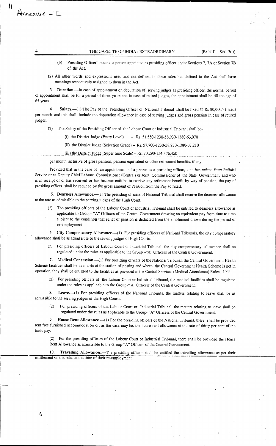#### THE GAZETTE OF INDIA : EXTRAORDINARY [PART II—SEC. 3(i)]

- (b) "Presiding Officer" means a person appointed as presiding officer under Sections 7, 7A or Section 7B ,of the Act.
- (2) All other words and expressions used and not defined in these rules but defined in the Act shall have meanings respectively assigned to them in the Act.

**3. Duration.—In** case of appointment on deputation of serving judges as presiding officer, the normal period of appointment shall be for a period of three years and in case of retired judges, the appointment shall be till the age of 65 years.

4. **Salary.—(1)** The Pay of the Presiding Officer of National Tribunal shall be fixed @ Rs 80,000/- (fixed) per month and this shall include the deputation allowance in case of serving judges and gross pension in case of retired judges.

(2) The Salary of the Presiding Officer of the Labour Court or Industrial Tribunal shall be-

- (i) the District Judge (Entry Level) Rs. 51,550-1230-58,930-1380-63,070
- (ii) the District Judge (Selection Grade) Rs. 57,700-1230-58,930-1380-67,210
- (iii) the District Judge (Super time Scale) Rs. 70,290-1540-76,450

per month inclusive of gross pension, pension equivalent or other retirement benefits, if any:

Provided that in the case of an appointment of a person as a presiding officer, who has retired from Judicial Service or as Deputy Chief Labour Commissioner (Central) or Joint Commissioner of the State Government and who is in receipt of or has received or has become entitled to receive any retirement benefit by way of pension, the pay of presiding officer shall be reduced by the gross amount of Pension from the Pay so fixed.

**5. Dearness Allowance.—(1)** The presiding officers of National Tribunal shall receive the dearness allowance at the rate as admissible to the serving judges of the High Court.

(2) The presiding officers of the Labour Court or Industrial Tribunal shall be entitled to dearness allowance as applicable to Group- "A" Officers of the Central Government drawing an equivalent pay from time to time subject to the condition that relief of pension is deducted from the emolument drawn during the period of re-employment.

**6 City Compensatory Allowance.—(1)** For presiding officers of National Tribunals, the city compensatory allowance shall be as admissible to the serving judges of High Courts.

(2) For presiding officers of Labour Court or Industrial Tribunal, the city compensatory allowance shall be regulated under the rules as applicable to the Group —"A" Officers of the Central Government.

**7. Medical Concession.—(1)** For presiding officers of the National Tribunal, the Central Government Health Scheme facilities shall be available at the station of posting and where the Central Government Health Scheme is not in operation, they shall be entittled to the facilities as provided in the Central Services (Medical Attendance) Rules, 1944.

(2) For presiding officers of the Labour Court or Industrial Tribunal, the medical facilities shall be regulated under the rules as applicable to the Group-" A" Officers of the Central Government.

**8. Leave.—(1)** For presiding officers of the National Tribunal, the matters relating to leave shall be as admissible to the serving judges of the High Courts.

For presiding officers of the Labour Court or Industrial Tribunal, the matters relating to leave shall be regulated under the rules as applicable to the Group- "A" Officers of the Central Government.

**9. House Rent Allowance.—(l)** For the presiding officers of the National Tribunal, there shall be provided rent free furnished accommodation or, as the case may be, the house rent allowance at the rate of thirty per cent of the basic pay.

(2) For the presiding officers of the Labour Court or Industrial Tribunal, there shall be provided the House Rent Allowance as admissible to the Group-"A" Officers of the Central Government.

**10. Travelling Allowances.—The** presiding officers shall be entitled the travelling allowance as per their entitlement on the rates at the time of their re-employment.

Annexure -II

Ii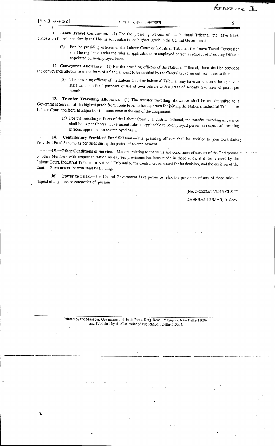**11. Leave Travel Concession.—(1)** For the presiding officers of the National Tribunal, the leave travel concession for self and family shall be as admissible to the highest grade in the Central Government.

> For the presiding officers of the Labour Court or Industrial Tribunal, the Leave Travel Concession shall be regulated under the rules as applicable to re-employed person in respect of Presiding Officers appointed on re-employed basis.

**12. Conveyance Allowance.—(1)** For the presiding officers of the National Tribunal, there shall be provided the conveyance allowance in the form of a fixed amount to be decided by the Central Government from time to time.

(2) The presiding officers of the Labour Court or Industrial Tribunal may have an option either to have a staff car for official purposes or use of own vehicle with a grant of seventy five litres of petrol per month.

**13. Transfer Travelling Allowance.—(1)** The transfer travelling allowance shall be as admissible to a Government Servant of the highest grade from home town to headquarters for joining the National Industrial Tribunal or Labour Court and from headquarters to home town at the end of the assignment.

> (2) For the presiding officers of the Labour Court or Industrial Tribunal, the transfer travelling allowance shall be as per Central Government rules as applicable to re-employed person in respect of presiding officers appointed on re-employed basis.

**14. Contributory Provident Fund Scheme.—The** presiding officers shall be entitled to join Contributory Provident Fund Scheme as per rules during the period of re-employment.

 $-15.$  Other Conditions of Service.—Matters relating to the terms and conditions of service of the Chairperson or other Members with respect to which no express provisions has been made in these rules, shall be referred by the Labour Court, Industrial Tribunal or National Tribunal to the Central Government for its decision, and the decision of the Central Government thereon shall be binding.

**16. Power to relax.—The** Central Government have power to relax the provision of any of these rules in respect of any class or categories of persons.

[No. Z-25025/05/20l 3-CLS-II]

Annexure -II

DHEERAJ KUMAR, Jt. Secy.

Printed by the Manager, Government of India Press, Ring Road, Mayapuri, New Delhi-110064 and Published by the Controller of Publications, Delhi-110054..

J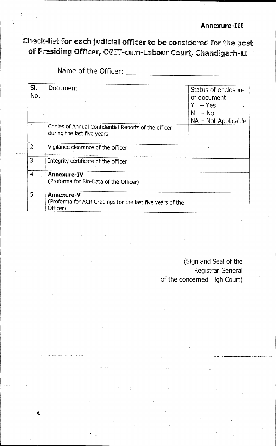## **Annexure-III**

Check-list for each judicial officer to be considered for the post of Presiding Officer, CGIT-cum-Labour Court, Chandigarh-II

Name of the Officer:

 $\boldsymbol{\zeta}$ 

| SI.            |                                                           |                     |
|----------------|-----------------------------------------------------------|---------------------|
|                | Document                                                  | Status of enclosure |
| No.            |                                                           | of document         |
|                |                                                           |                     |
|                |                                                           | – Yes               |
|                |                                                           | N.<br>$-$ No        |
|                |                                                           | NA - Not Applicable |
| $\mathbf{1}$   | Copies of Annual Confidential Reports of the officer      |                     |
|                | during the last five years                                |                     |
|                |                                                           |                     |
| $\overline{2}$ | Vigilance clearance of the officer                        |                     |
|                |                                                           |                     |
| 3              | Integrity certificate of the officer                      |                     |
| 4              | Annexure-IV                                               |                     |
|                | (Proforma for Bio-Data of the Officer)                    |                     |
|                |                                                           |                     |
| 5              | Annexure-V                                                |                     |
|                | (Proforma for ACR Gradings for the last five years of the |                     |
|                | Officer)                                                  |                     |

(Sign and Seal of the Registrar General of the concerned High Court)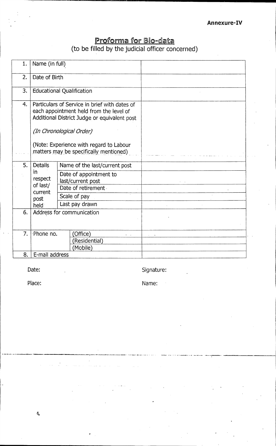# Proforma for Bic-data (to be filled by the judicial officer concerned)

| 1. | Name (in full)                               |                                                                                                                                                                                                                                                           |  |  |  |  |
|----|----------------------------------------------|-----------------------------------------------------------------------------------------------------------------------------------------------------------------------------------------------------------------------------------------------------------|--|--|--|--|
| 2. | Date of Birth                                |                                                                                                                                                                                                                                                           |  |  |  |  |
| 3. |                                              | <b>Educational Qualification</b>                                                                                                                                                                                                                          |  |  |  |  |
| 4. |                                              | Particulars of Service in brief with dates of<br>each appointment held from the level of<br>Additional District Judge or equivalent post<br>(In Chronological Order)<br>(Note: Experience with regard to Labour<br>matters may be specifically mentioned) |  |  |  |  |
| 5. | <b>Details</b>                               | Name of the last/current post                                                                                                                                                                                                                             |  |  |  |  |
|    | in<br>respect<br>of last/<br>current<br>post | Date of appointment to<br>last/current post<br>Date of retirement<br>Scale of pay                                                                                                                                                                         |  |  |  |  |
|    | held i                                       | Last pay drawn                                                                                                                                                                                                                                            |  |  |  |  |
| 6. | Address for communication                    |                                                                                                                                                                                                                                                           |  |  |  |  |
| 7. | Phone no.                                    | (Office)<br>(Residential)<br>(Mobile)                                                                                                                                                                                                                     |  |  |  |  |
| 8. | E-mail address                               |                                                                                                                                                                                                                                                           |  |  |  |  |

Date: Executive Contract Contract Contract Contract Contract Contract Contract Contract Contract Contract Contract Contract Contract Contract Contract Contract Contract Contract Contract Contract Contract Contract Contract

 $\sim$   $\epsilon$ 

Place: Name: Name: Name: Name: Name: Name: Name: Name: Name: Name: Name: Name: Name: Name: Name: Name: Name: Name: Name: Name: Name: Name: Name: Name: Name: Name: Name: Name: Name: Name: Name: Name: Name: Name: Name: Name:

 $\bar{\mathbf{Q}}$